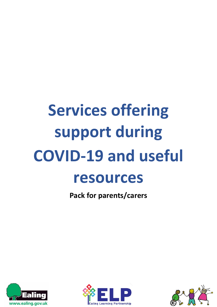# **Services offering support during COVID-19 and useful resources**

**Pack for parents/carers**





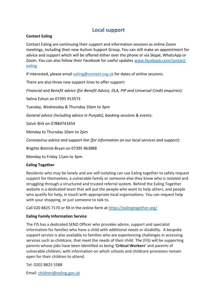# **Local support**

# **Contact Ealing**

Contact Ealing are continuing their support and information sessions as online Zoom meetings, including their new Autism Support Group. You can still make an appointment for advice and support which will be offered either over the phone or via Skype, WhatsApp or Zoom. You can also follow their Facebook for useful updates [www.facebook.com/contact](http://www.facebook.com/contact-ealing)[ealing](http://www.facebook.com/contact-ealing)

If interested, please email [ealing@contact.org.uk](mailto:ealing@contact.org.uk) for dates of online sessions.

There are also three new support lines to offer support:

*Financial and Benefit advice (for Benefit Advice, DLA, PIP and Universal Credit enquiries):*

Selina Eshun on 07395 913573

Tuesday, Wednesday & Thursday 10am to 3pm

*General advice (including advice in Punjabi), booking sessions & events:*

Satvir Birk on 07884741654

Monday to Thursday 10am to 2pm

*Coronavirus advice and support line (for information on our local services and support):*

Brigitte Bistrick-Bryan on 07395 963888

Monday to Friday 11am to 3pm

# **Ealing Together**

Residents who may be lonely and are self-isolating can use Ealing together to safely request support for themselves, a vulnerable family or someone else they know who is isolated and struggling through a structured and trusted referral system. Behind the Ealing Together website is a dedicated team that will put the people who want to help others, and people who qualify for help, in touch with appropriate local organisations. You can request help with your shopping, or just someone to talk to.

Call 020 8825 7170 or fill in the online form at<https://ealingtogether.org/>

# **Ealing Family Information Service**

The FIS has a dedicated SEND Officer who provides advice, support and specialist information for families who have a child with additional needs or disability. A bespoke support service is also available to families who are experiencing challenges in accessing services such as childcare, that meet the needs of their child. The (FIS) will be supporting parents whose jobs have been identified as being '**Critical Workers'** and parents of vulnerable children; with information on which schools and childcare provisions remain open for their children to attend.

Tel: 0202 8825 5588

Email: [children@ealing.gov.uk](mailto:children@ealing.gov.uk)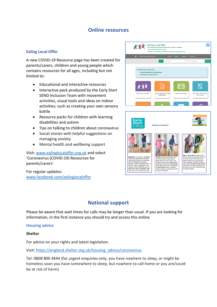# **Online resources**

## **Ealing Local Offer**

A new COVID-19 Resource page has been created for parents/carers, children and young people which contains resources for all ages, including but not limited to:

- Educational and interactive resources
- Interactive pack produced by the Early Start SEND Inclusion Team with movement activities, visual tools and ideas on indoor activities; such as creating your own sensory bottle
- Resource packs for children with learning disabilities and autism
- Tips on talking to children about coronavirus
- Social stories with helpful suggestions on managing anxiety.
- Mental health and wellbeing support

Visit: [www.ealinglocaloffer.org.uk](http://www.ealinglocaloffer.org.uk/) and select 'Coronavirus (COVID:19) Resources for parents/carers'

For regular updates: [www.facebook.com/ealinglocaloffer](http://www.facebook.com/ealinglocaloffer)





# **National support**

Please be aware that wait times for calls may be longer than usual. If you are looking for information, in the first instance you should try and access this online.

#### **Housing advice**

**Shelter** 

For advice on your rights and latest legislation.

Visit: [https://england.shelter.org.uk/housing\\_advice/coronavirus](https://england.shelter.org.uk/housing_advice/coronavirus)

Tel: 0808 800 4444 (for urgent enquiries only, you have nowhere to sleep, or might be homeless soon you have somewhere to sleep, but nowhere to call home or you are/could be at risk of harm)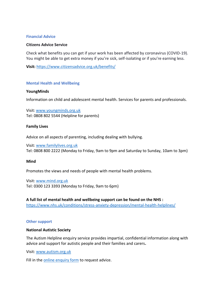#### **Financial Advice**

#### **Citizens Advice Service**

Check what benefits you can get if your work has been affected by coronavirus (COVID-19). You might be able to get extra money if you're sick, self-isolating or if you're earning less.

**Visit:** <https://www.citizensadvice.org.uk/benefits/>

#### **Mental Health and Wellbeing**

#### **YoungMinds**

Information on child and adolescent mental health. Services for parents and professionals.

Visit: [www.youngminds.org.uk](http://www.youngminds.org.uk/) Tel: 0808 802 5544 (Helpline for parents)

#### **Family Lives**

Advice on all aspects of parenting, including dealing with bullying.

Visit: [www.familylives.org.uk](http://www.familylives.org.uk/) Tel: 0808 800 2222 (Monday to Friday, 9am to 9pm and Saturday to Sunday, 10am to 3pm)

#### **Mind**

Promotes the views and needs of people with mental health problems.

Visit: [www.mind.org.uk](http://www.mind.org.uk/) Tel: 0300 123 3393 (Monday to Friday, 9am to 6pm)

**A full list of mental health and wellbeing support can be found on the NHS :**  <https://www.nhs.uk/conditions/stress-anxiety-depression/mental-health-helplines/>

#### **Other support**

#### **National Autistic Society**

The Autism Helpline enquiry service provides impartial, confidential information along with advice and support for autistic people and their families and carers**.**

Visit: [www.autism.org.uk](http://www.autism.org.uk/)

Fill in the [online enquiry form](https://www.autism.org.uk/services/helplines/main/form.aspx) to request advice.